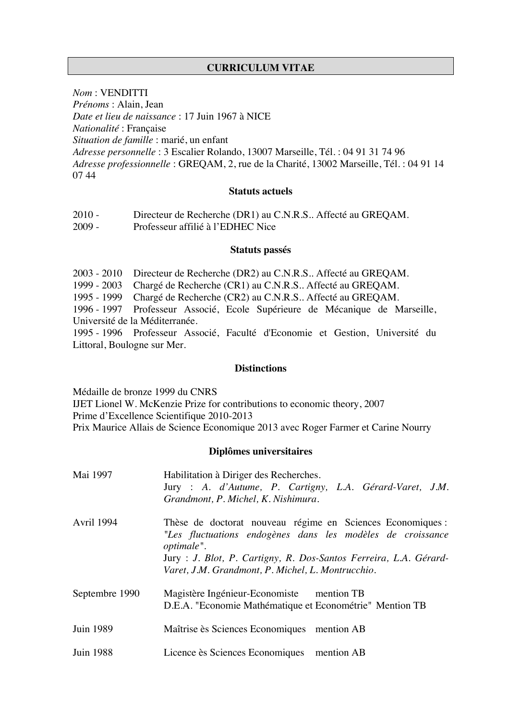# **CURRICULUM VITAE**

*Nom* : VENDITTI

*Prénoms* : Alain, Jean

*Date et lieu de naissance* : 17 Juin 1967 à NICE

*Nationalité* : Française

*Situation de famille* : marié, un enfant

*Adresse personnelle* : 3 Escalier Rolando, 13007 Marseille, Tél. : 04 91 31 74 96 *Adresse professionnelle* : GREQAM, 2, rue de la Charité, 13002 Marseille, Tél. : 04 91 14 07 44

#### **Statuts actuels**

| $2010 -$ | Directeur de Recherche (DR1) au C.N.R.S Affecté au GREQAM. |
|----------|------------------------------------------------------------|
| $2009 -$ | Professeur affilié à l'EDHEC Nice                          |

### **Statuts passés**

2003 - 2010 Directeur de Recherche (DR2) au C.N.R.S.. Affecté au GREQAM.

1999 - 2003 Chargé de Recherche (CR1) au C.N.R.S.. Affecté au GREQAM.

1995 - 1999 Chargé de Recherche (CR2) au C.N.R.S.. Affecté au GREQAM.

1996 - 1997 Professeur Associé, Ecole Supérieure de Mécanique de Marseille, Université de la Méditerranée.

1995 - 1996 Professeur Associé, Faculté d'Economie et Gestion, Université du Littoral, Boulogne sur Mer.

# **Distinctions**

Médaille de bronze 1999 du CNRS IJET Lionel W. McKenzie Prize for contributions to economic theory, 2007 Prime d'Excellence Scientifique 2010-2013 Prix Maurice Allais de Science Economique 2013 avec Roger Farmer et Carine Nourry

# **Diplômes universitaires**

| Mai 1997          | Habilitation à Diriger des Recherches.<br>Jury : A. d'Autume, P. Cartigny, L.A. Gérard-Varet, J.M.<br>Grandmont, P. Michel, K. Nishimura.                                                                                                                        |
|-------------------|------------------------------------------------------------------------------------------------------------------------------------------------------------------------------------------------------------------------------------------------------------------|
| <b>Avril 1994</b> | Thèse de doctorat nouveau régime en Sciences Economiques :<br>"Les fluctuations endogènes dans les modèles de croissance<br>optimale".<br>Jury : J. Blot, P. Cartigny, R. Dos-Santos Ferreira, L.A. Gérard-<br>Varet, J.M. Grandmont, P. Michel, L. Montrucchio. |
| Septembre 1990    | Magistère Ingénieur-Economiste mention TB<br>D.E.A. "Economie Mathématique et Econométrie" Mention TB                                                                                                                                                            |
| Juin 1989         | Maîtrise ès Sciences Economiques mention AB                                                                                                                                                                                                                      |
| <b>Juin 1988</b>  | Licence ès Sciences Economiques mention AB                                                                                                                                                                                                                       |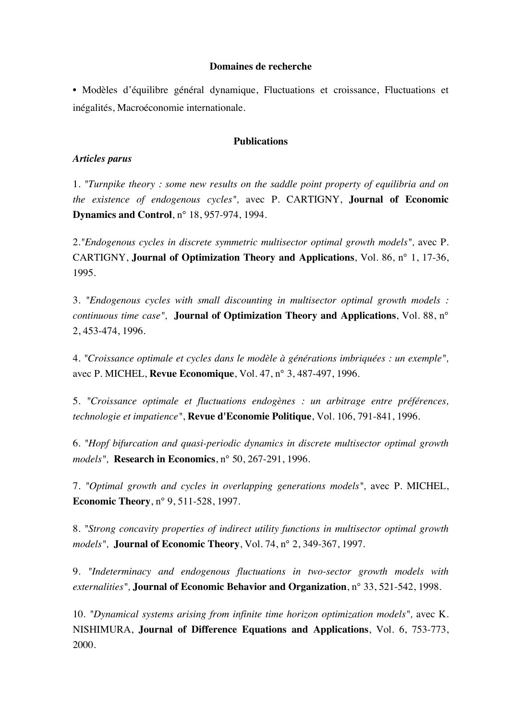## **Domaines de recherche**

• Modèles d'équilibre général dynamique, Fluctuations et croissance, Fluctuations et inégalités, Macroéconomie internationale.

# **Publications**

### *Articles parus*

1. *"Turnpike theory : some new results on the saddle point property of equilibria and on the existence of endogenous cycles",* avec P. CARTIGNY, **Journal of Economic Dynamics and Control**, n° 18, 957-974, 1994.

2.*"Endogenous cycles in discrete symmetric multisector optimal growth models",* avec P. CARTIGNY, **Journal of Optimization Theory and Applications**, Vol. 86, n° 1, 17-36, 1995.

3. *"Endogenous cycles with small discounting in multisector optimal growth models : continuous time case",* **Journal of Optimization Theory and Applications**, Vol. 88, n° 2, 453-474, 1996.

4. *"Croissance optimale et cycles dans le modèle à générations imbriquées : un exemple",* avec P. MICHEL, **Revue Economique**, Vol. 47, n° 3, 487-497, 1996.

5. *"Croissance optimale et fluctuations endogènes : un arbitrage entre préférences, technologie et impatience"*, **Revue d'Economie Politique**, Vol. 106, 791-841, 1996.

6. *"Hopf bifurcation and quasi-periodic dynamics in discrete multisector optimal growth models",* **Research in Economics**, n° 50, 267-291, 1996.

7. *"Optimal growth and cycles in overlapping generations models",* avec P. MICHEL, **Economic Theory**, n° 9, 511-528, 1997.

8. *"Strong concavity properties of indirect utility functions in multisector optimal growth models",* **Journal of Economic Theory**, Vol. 74, n° 2, 349-367, 1997.

9. *"Indeterminacy and endogenous fluctuations in two-sector growth models with externalities",* **Journal of Economic Behavior and Organization**, n° 33, 521-542, 1998.

10. *"Dynamical systems arising from infinite time horizon optimization models",* avec K. NISHIMURA, **Journal of Difference Equations and Applications**, Vol. 6, 753-773, 2000.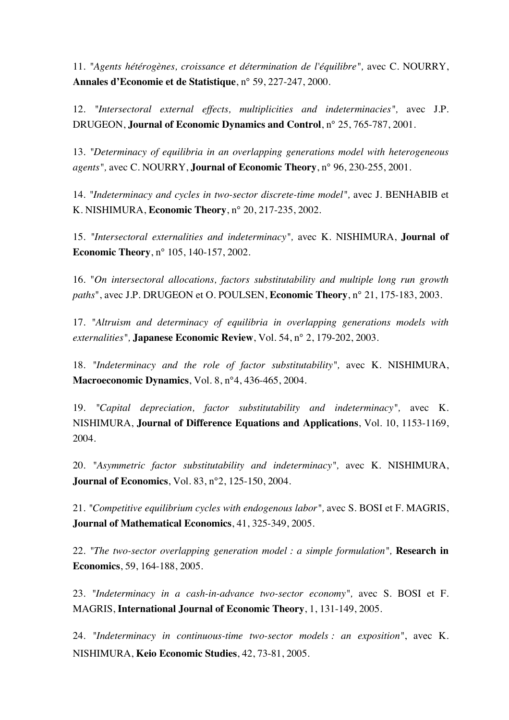11. *"Agents hétérogènes, croissance et détermination de l'équilibre",* avec C. NOURRY, **Annales d'Economie et de Statistique**, n° 59, 227-247, 2000.

12. *"Intersectoral external effects, multiplicities and indeterminacies",* avec J.P. DRUGEON, **Journal of Economic Dynamics and Control**, n° 25, 765-787, 2001.

13. *"Determinacy of equilibria in an overlapping generations model with heterogeneous agents",* avec C. NOURRY, **Journal of Economic Theory**, n° 96, 230-255, 2001.

14. *"Indeterminacy and cycles in two-sector discrete-time model",* avec J. BENHABIB et K. NISHIMURA, **Economic Theory**, n° 20, 217-235, 2002.

15. *"Intersectoral externalities and indeterminacy",* avec K. NISHIMURA, **Journal of Economic Theory**, n° 105, 140-157, 2002.

16. "*On intersectoral allocations, factors substitutability and multiple long run growth paths*", avec J.P. DRUGEON et O. POULSEN, **Economic Theory**, n° 21, 175-183, 2003.

17. *"Altruism and determinacy of equilibria in overlapping generations models with externalities",* **Japanese Economic Review**, Vol. 54, n° 2, 179-202, 2003.

18. *"Indeterminacy and the role of factor substitutability",* avec K. NISHIMURA, **Macroeconomic Dynamics**, Vol. 8, n°4, 436-465, 2004.

19. *"Capital depreciation, factor substitutability and indeterminacy",* avec K. NISHIMURA, **Journal of Difference Equations and Applications**, Vol. 10, 1153-1169, 2004.

20. *"Asymmetric factor substitutability and indeterminacy",* avec K. NISHIMURA, **Journal of Economics**, Vol. 83, n°2, 125-150, 2004.

21. *"Competitive equilibrium cycles with endogenous labor",* avec S. BOSI et F. MAGRIS, **Journal of Mathematical Economics**, 41, 325-349, 2005.

22. *"The two-sector overlapping generation model : a simple formulation",* **Research in Economics**, 59, 164-188, 2005.

23. *"Indeterminacy in a cash-in-advance two-sector economy",* avec S. BOSI et F. MAGRIS, **International Journal of Economic Theory**, 1, 131-149, 2005.

24. *"Indeterminacy in continuous-time two-sector models : an exposition"*, avec K. NISHIMURA, **Keio Economic Studies**, 42, 73-81, 2005.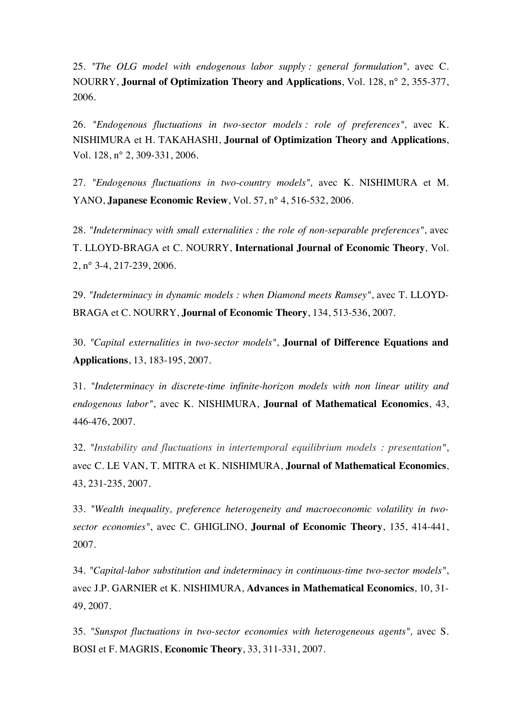25. *"The OLG model with endogenous labor supply : general formulation",* avec C. NOURRY, **Journal of Optimization Theory and Applications**, Vol. 128, n° 2, 355-377, 2006.

26. *"Endogenous fluctuations in two-sector models : role of preferences",* avec K. NISHIMURA et H. TAKAHASHI, **Journal of Optimization Theory and Applications**, Vol. 128, n° 2, 309-331, 2006.

27. *"Endogenous fluctuations in two-country models",* avec K. NISHIMURA et M. YANO, **Japanese Economic Review**, Vol. 57, n° 4, 516-532, 2006.

28. *"Indeterminacy with small externalities : the role of non-separable preferences"*, avec T. LLOYD-BRAGA et C. NOURRY, **International Journal of Economic Theory**, Vol. 2, n° 3-4, 217-239, 2006.

29. *"Indeterminacy in dynamic models : when Diamond meets Ramsey"*, avec T. LLOYD-BRAGA et C. NOURRY, **Journal of Economic Theory**, 134, 513-536, 2007.

30. *"Capital externalities in two-sector models"*, **Journal of Difference Equations and Applications**, 13, 183-195, 2007.

31. *"Indeterminacy in discrete-time infinite-horizon models with non linear utility and endogenous labor"*, avec K. NISHIMURA, **Journal of Mathematical Economics**, 43, 446-476, 2007.

32. *"Instability and fluctuations in intertemporal equilibrium models : presentation"*, avec C. LE VAN, T. MITRA et K. NISHIMURA, **Journal of Mathematical Economics**, 43, 231-235, 2007.

33. *"Wealth inequality, preference heterogeneity and macroeconomic volatility in twosector economies"*, avec C. GHIGLINO, **Journal of Economic Theory**, 135, 414-441, 2007.

34. *"Capital-labor substitution and indeterminacy in continuous-time two-sector models"*, avec J.P. GARNIER et K. NISHIMURA, **Advances in Mathematical Economics**, 10, 31- 49, 2007.

35. *"Sunspot fluctuations in two-sector economies with heterogeneous agents",* avec S. BOSI et F. MAGRIS, **Economic Theory**, 33, 311-331, 2007.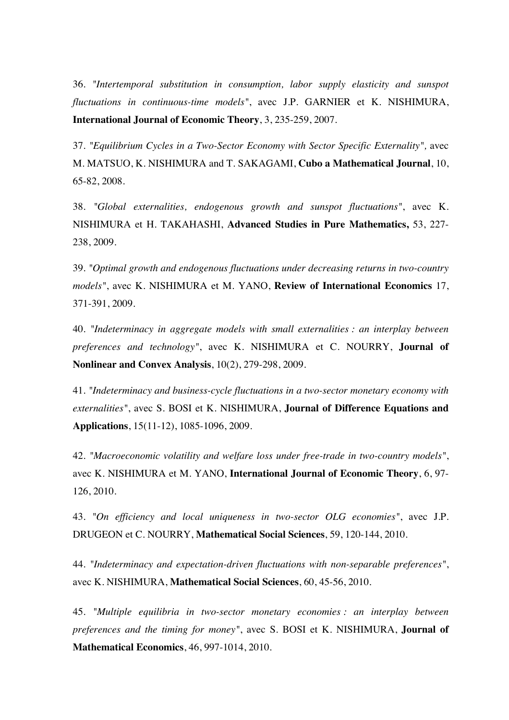36. *"Intertemporal substitution in consumption, labor supply elasticity and sunspot fluctuations in continuous-time models"*, avec J.P. GARNIER et K. NISHIMURA, **International Journal of Economic Theory**, 3, 235-259, 2007.

37. *"Equilibrium Cycles in a Two-Sector Economy with Sector Specific Externality",* avec M. MATSUO, K. NISHIMURA and T. SAKAGAMI, **Cubo a Mathematical Journal**, 10, 65-82, 2008.

38. *"Global externalities, endogenous growth and sunspot fluctuations"*, avec K. NISHIMURA et H. TAKAHASHI, **Advanced Studies in Pure Mathematics,** 53, 227- 238, 2009.

39. *"Optimal growth and endogenous fluctuations under decreasing returns in two-country models"*, avec K. NISHIMURA et M. YANO, **Review of International Economics** 17, 371-391, 2009.

40. *"Indeterminacy in aggregate models with small externalities : an interplay between preferences and technology"*, avec K. NISHIMURA et C. NOURRY, **Journal of Nonlinear and Convex Analysis**, 10(2), 279-298, 2009.

41. *"Indeterminacy and business-cycle fluctuations in a two-sector monetary economy with externalities"*, avec S. BOSI et K. NISHIMURA, **Journal of Difference Equations and Applications**, 15(11-12), 1085-1096, 2009.

42. *"Macroeconomic volatility and welfare loss under free-trade in two-country models"*, avec K. NISHIMURA et M. YANO, **International Journal of Economic Theory**, 6, 97- 126, 2010.

43. *"On efficiency and local uniqueness in two-sector OLG economies"*, avec J.P. DRUGEON et C. NOURRY, **Mathematical Social Sciences**, 59, 120-144, 2010*.*

44. *"Indeterminacy and expectation-driven fluctuations with non-separable preferences"*, avec K. NISHIMURA, **Mathematical Social Sciences**, 60, 45-56, 2010*.*

45. *"Multiple equilibria in two-sector monetary economies : an interplay between preferences and the timing for money"*, avec S. BOSI et K. NISHIMURA, **Journal of Mathematical Economics**, 46, 997-1014, 2010.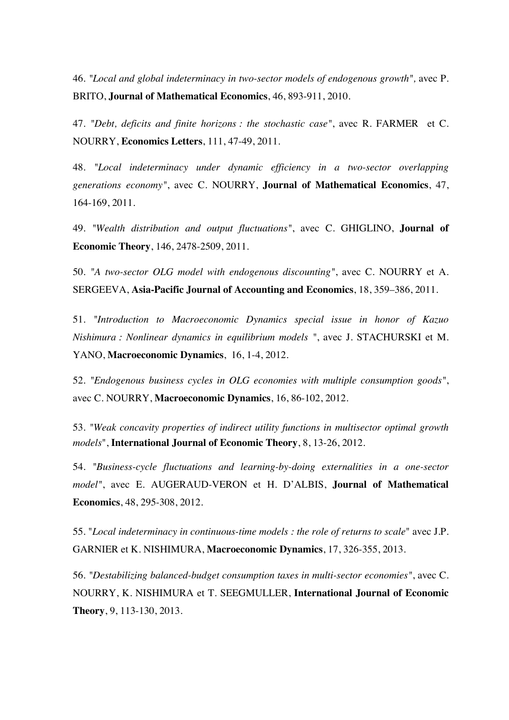46. *"Local and global indeterminacy in two-sector models of endogenous growth",* avec P. BRITO, **Journal of Mathematical Economics**, 46, 893-911, 2010.

47. *"Debt, deficits and finite horizons : the stochastic case"*, avec R. FARMER et C. NOURRY, **Economics Letters**, 111, 47-49, 2011.

48. *"Local indeterminacy under dynamic efficiency in a two-sector overlapping generations economy"*, avec C. NOURRY, **Journal of Mathematical Economics**, 47, 164-169, 2011*.*

49. *"Wealth distribution and output fluctuations"*, avec C. GHIGLINO, **Journal of Economic Theory**, 146, 2478-2509, 2011.

50. *"A two-sector OLG model with endogenous discounting"*, avec C. NOURRY et A. SERGEEVA, **Asia-Pacific Journal of Accounting and Economics**, 18, 359–386, 2011.

51. *"Introduction to Macroeconomic Dynamics special issue in honor of Kazuo Nishimura : Nonlinear dynamics in equilibrium models "*, avec J. STACHURSKI et M. YANO, **Macroeconomic Dynamics**, 16, 1-4, 2012.

52. *"Endogenous business cycles in OLG economies with multiple consumption goods"*, avec C. NOURRY, **Macroeconomic Dynamics**, 16, 86-102, 2012.

53. *"Weak concavity properties of indirect utility functions in multisector optimal growth models*", **International Journal of Economic Theory**, 8, 13-26, 2012.

54. *"Business-cycle fluctuations and learning-by-doing externalities in a one-sector model"*, avec E. AUGERAUD-VERON et H. D'ALBIS, **Journal of Mathematical Economics**, 48, 295-308, 2012.

55. "*Local indeterminacy in continuous-time models : the role of returns to scale*" avec J.P. GARNIER et K. NISHIMURA, **Macroeconomic Dynamics**, 17, 326-355, 2013.

56. *"Destabilizing balanced-budget consumption taxes in multi-sector economies"*, avec C. NOURRY, K. NISHIMURA et T. SEEGMULLER, **International Journal of Economic Theory**, 9, 113-130, 2013.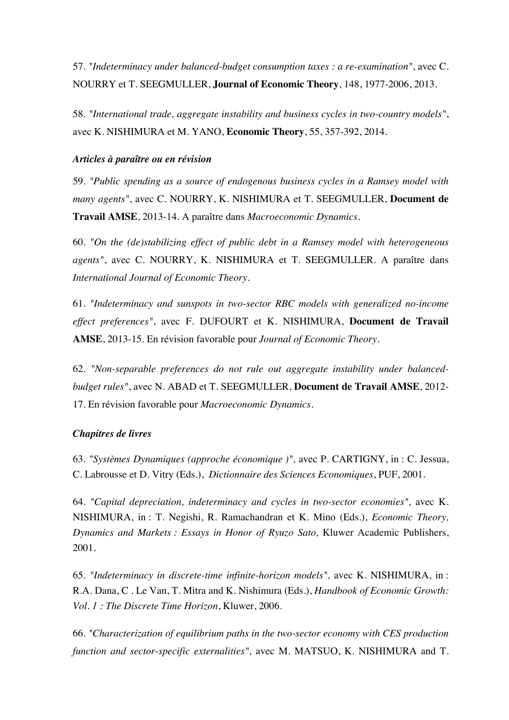57. *"Indeterminacy under balanced-budget consumption taxes : a re-examination"*, avec C. NOURRY et T. SEEGMULLER, **Journal of Economic Theory**, 148, 1977-2006, 2013.

58. *"International trade, aggregate instability and business cycles in two-country models"*, avec K. NISHIMURA et M. YANO, **Economic Theory**, 55, 357-392, 2014.

# *Articles à paraître ou en révision*

59. *"Public spending as a source of endogenous business cycles in a Ramsey model with many agents"*, avec C. NOURRY, K. NISHIMURA et T. SEEGMULLER, **Document de Travail AMSE**, 2013-14. A paraître dans *Macroeconomic Dynamics.*

60. *"On the (de)stabilizing effect of public debt in a Ramsey model with heterogeneous agents"*, avec C. NOURRY, K. NISHIMURA et T. SEEGMULLER. A paraître dans *International Journal of Economic Theory*.

61. *"Indeterminacy and sunspots in two-sector RBC models with generalized no-income effect preferences"*, avec F. DUFOURT et K. NISHIMURA, **Document de Travail AMSE**, 2013-15. En révision favorable pour *Journal of Economic Theory*.

62. *"Non-separable preferences do not rule out aggregate instability under balancedbudget rules"*, avec N. ABAD et T. SEEGMULLER, **Document de Travail AMSE**, 2012- 17. En révision favorable pour *Macroeconomic Dynamics*.

# *Chapitres de livres*

63. *"Systèmes Dynamiques (approche économique )",* avec P. CARTIGNY, in : C. Jessua, C. Labrousse et D. Vitry (Eds.), *Dictionnaire des Sciences Economiques*, PUF, 2001.

64. *"Capital depreciation, indeterminacy and cycles in two-sector economies",* avec K. NISHIMURA, in : T. Negishi, R. Ramachandran et K. Mino (Eds.), *Economic Theory, Dynamics and Markets : Essays in Honor of Ryuzo Sato,* Kluwer Academic Publishers, 2001.

65. *"Indeterminacy in discrete-time infinite-horizon models",* avec K. NISHIMURA, in : R.A. Dana, C . Le Van, T. Mitra and K. Nishimura (Eds.), *Handbook of Economic Growth: Vol. 1 : The Discrete Time Horizon*, Kluwer, 2006.

66. *"Characterization of equilibrium paths in the two-sector economy with CES production function and sector-specific externalities",* avec M. MATSUO, K. NISHIMURA and T.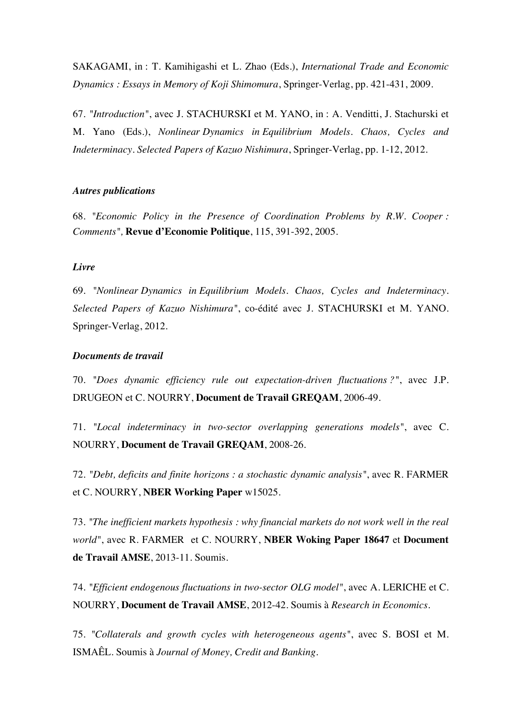SAKAGAMI, in : T. Kamihigashi et L. Zhao (Eds.), *International Trade and Economic Dynamics : Essays in Memory of Koji Shimomura*, Springer-Verlag, pp. 421-431, 2009.

67. *"Introduction"*, avec J. STACHURSKI et M. YANO, in : A. Venditti, J. Stachurski et M. Yano (Eds.), *Nonlinear Dynamics in Equilibrium Models. Chaos, Cycles and Indeterminacy. Selected Papers of Kazuo Nishimura*, Springer-Verlag, pp. 1-12, 2012.

### *Autres publications*

68. *"Economic Policy in the Presence of Coordination Problems by R.W. Cooper : Comments",* **Revue d'Economie Politique**, 115, 391-392, 2005.

## *Livre*

69. *"Nonlinear Dynamics in Equilibrium Models. Chaos, Cycles and Indeterminacy. Selected Papers of Kazuo Nishimura"*, co-édité avec J. STACHURSKI et M. YANO. Springer-Verlag, 2012.

### *Documents de travail*

70. *"Does dynamic efficiency rule out expectation-driven fluctuations ?"*, avec J.P. DRUGEON et C. NOURRY, **Document de Travail GREQAM**, 2006-49.

71. *"Local indeterminacy in two-sector overlapping generations models"*, avec C. NOURRY, **Document de Travail GREQAM**, 2008-26.

72. *"Debt, deficits and finite horizons : a stochastic dynamic analysis"*, avec R. FARMER et C. NOURRY, **NBER Working Paper** w15025.

73. *"The inefficient markets hypothesis : why financial markets do not work well in the real world"*, avec R. FARMER et C. NOURRY, **NBER Woking Paper 18647** et **Document de Travail AMSE**, 2013-11. Soumis.

74. *"Efficient endogenous fluctuations in two-sector OLG model"*, avec A. LERICHE et C. NOURRY, **Document de Travail AMSE**, 2012-42. Soumis à *Research in Economics*.

75. *"Collaterals and growth cycles with heterogeneous agents"*, avec S. BOSI et M. ISMAÊL. Soumis à *Journal of Money, Credit and Banking*.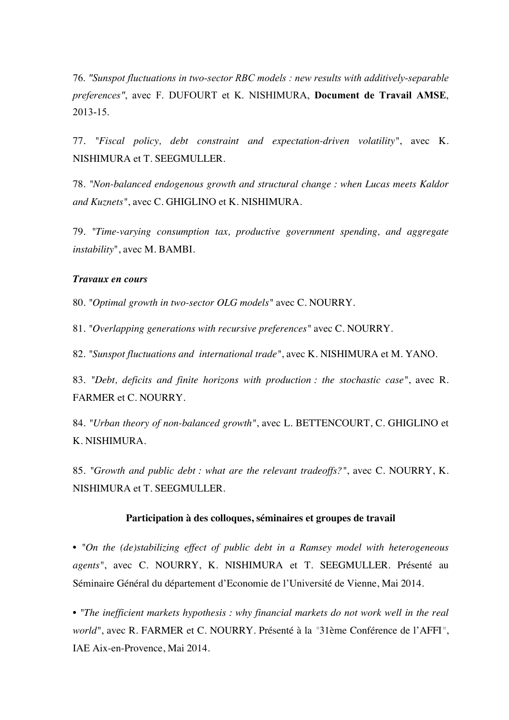76. *"Sunspot fluctuations in two-sector RBC models : new results with additively-separable preferences"*, avec F. DUFOURT et K. NISHIMURA, **Document de Travail AMSE**, 2013-15.

77. *"Fiscal policy, debt constraint and expectation-driven volatility"*, avec K. NISHIMURA et T. SEEGMULLER.

78. *"Non-balanced endogenous growth and structural change : when Lucas meets Kaldor and Kuznets"*, avec C. GHIGLINO et K. NISHIMURA.

79. *"Time-varying consumption tax, productive government spending, and aggregate instability*", avec M. BAMBI.

### *Travaux en cours*

80. *"Optimal growth in two-sector OLG models"* avec C. NOURRY.

81. *"Overlapping generations with recursive preferences"* avec C. NOURRY.

82. *"Sunspot fluctuations and international trade"*, avec K. NISHIMURA et M. YANO.

83. *"Debt, deficits and finite horizons with production : the stochastic case"*, avec R. FARMER et C. NOURRY.

84. *"Urban theory of non-balanced growth"*, avec L. BETTENCOURT, C. GHIGLINO et K. NISHIMURA.

85. *"Growth and public debt : what are the relevant tradeoffs?"*, avec C. NOURRY, K. NISHIMURA et T. SEEGMULLER.

#### **Participation à des colloques, séminaires et groupes de travail**

• *"On the (de)stabilizing effect of public debt in a Ramsey model with heterogeneous agents"*, avec C. NOURRY, K. NISHIMURA et T. SEEGMULLER. Présenté au Séminaire Général du département d'Economie de l'Université de Vienne, Mai 2014.

• *"The inefficient markets hypothesis : why financial markets do not work well in the real world"*, avec R. FARMER et C. NOURRY. Présenté à la *"*31ème Conférence de l'AFFI*"*, IAE Aix-en-Provence, Mai 2014.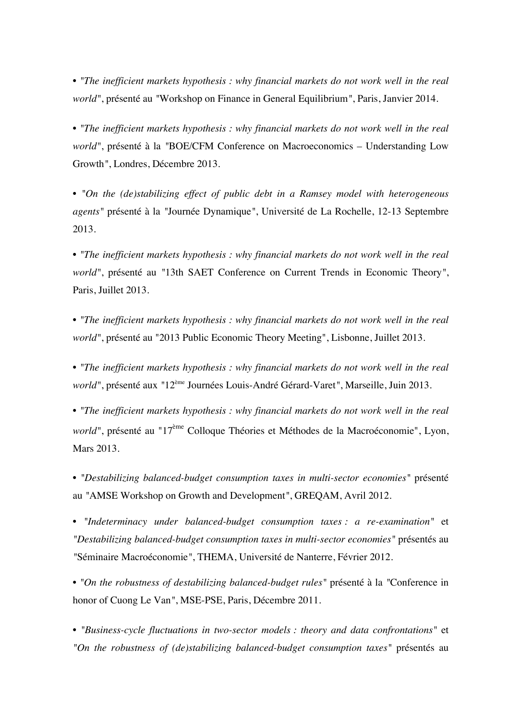• *"The inefficient markets hypothesis : why financial markets do not work well in the real world"*, présenté au *"*Workshop on Finance in General Equilibrium*"*, Paris, Janvier 2014.

• *"The inefficient markets hypothesis : why financial markets do not work well in the real world"*, présenté à la *"*BOE/CFM Conference on Macroeconomics – Understanding Low Growth*"*, Londres, Décembre 2013.

• *"On the (de)stabilizing effect of public debt in a Ramsey model with heterogeneous agents"* présenté à la *"*Journée Dynamique*"*, Université de La Rochelle, 12-13 Septembre 2013.

• *"The inefficient markets hypothesis : why financial markets do not work well in the real world"*, présenté au *"*13th SAET Conference on Current Trends in Economic Theory*"*, Paris, Juillet 2013.

• *"The inefficient markets hypothesis : why financial markets do not work well in the real world"*, présenté au "2013 Public Economic Theory Meeting", Lisbonne, Juillet 2013.

• *"The inefficient markets hypothesis : why financial markets do not work well in the real world"*, présenté aux *"*12ème Journées Louis-André Gérard-Varet*"*, Marseille, Juin 2013.

• *"The inefficient markets hypothesis : why financial markets do not work well in the real world*", présenté au "17<sup>ème</sup> Colloque Théories et Méthodes de la Macroéconomie", Lyon, Mars 2013.

• *"Destabilizing balanced-budget consumption taxes in multi-sector economies"* présenté au *"*AMSE Workshop on Growth and Development*"*, GREQAM, Avril 2012.

• *"Indeterminacy under balanced-budget consumption taxes : a re-examination"* et *"Destabilizing balanced-budget consumption taxes in multi-sector economies"* présentés au *"*Séminaire Macroéconomie*"*, THEMA, Université de Nanterre, Février 2012.

• *"On the robustness of destabilizing balanced-budget rules"* présenté à la *"*Conference in honor of Cuong Le Van*"*, MSE-PSE, Paris, Décembre 2011.

• *"Business-cycle fluctuations in two-sector models : theory and data confrontations"* et *"On the robustness of (de)stabilizing balanced-budget consumption taxes"* présentés au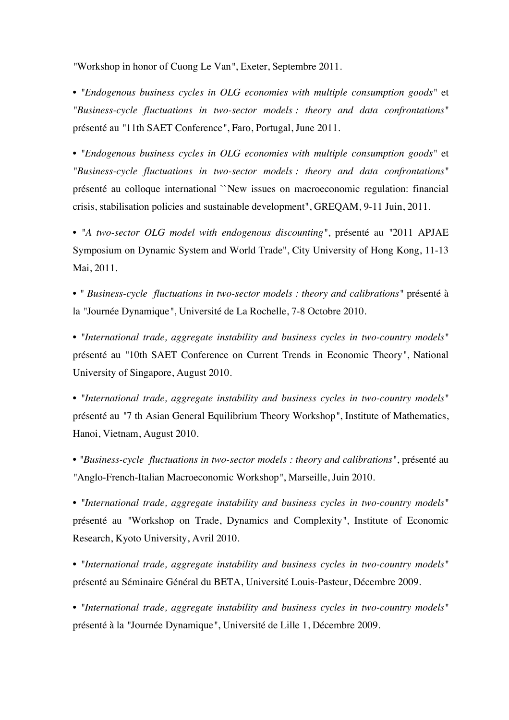*"*Workshop in honor of Cuong Le Van*"*, Exeter, Septembre 2011.

• *"Endogenous business cycles in OLG economies with multiple consumption goods"* et *"Business-cycle fluctuations in two-sector models : theory and data confrontations"* présenté au *"*11th SAET Conference*"*, Faro, Portugal, June 2011.

• *"Endogenous business cycles in OLG economies with multiple consumption goods"* et *"Business-cycle fluctuations in two-sector models : theory and data confrontations"* présenté au colloque international ``New issues on macroeconomic regulation: financial crisis, stabilisation policies and sustainable development", GREQAM, 9-11 Juin, 2011.

• *"A two-sector OLG model with endogenous discounting"*, présenté au *"*2011 APJAE Symposium on Dynamic System and World Trade", City University of Hong Kong, 11-13 Mai, 2011.

• *" Business-cycle fluctuations in two-sector models : theory and calibrations"* présenté à la *"*Journée Dynamique*"*, Université de La Rochelle, 7-8 Octobre 2010.

• *"International trade, aggregate instability and business cycles in two-country models"* présenté au *"*10th SAET Conference on Current Trends in Economic Theory*"*, National University of Singapore, August 2010.

• *"International trade, aggregate instability and business cycles in two-country models"* présenté au *"*7 th Asian General Equilibrium Theory Workshop*"*, Institute of Mathematics, Hanoi, Vietnam, August 2010.

• *"Business-cycle fluctuations in two-sector models : theory and calibrations"*, présenté au *"*Anglo-French-Italian Macroeconomic Workshop*"*, Marseille, Juin 2010.

• *"International trade, aggregate instability and business cycles in two-country models"* présenté au *"*Workshop on Trade, Dynamics and Complexity*"*, Institute of Economic Research, Kyoto University, Avril 2010.

• *"International trade, aggregate instability and business cycles in two-country models"* présenté au Séminaire Général du BETA, Université Louis-Pasteur, Décembre 2009.

• *"International trade, aggregate instability and business cycles in two-country models"* présenté à la *"*Journée Dynamique*"*, Université de Lille 1, Décembre 2009.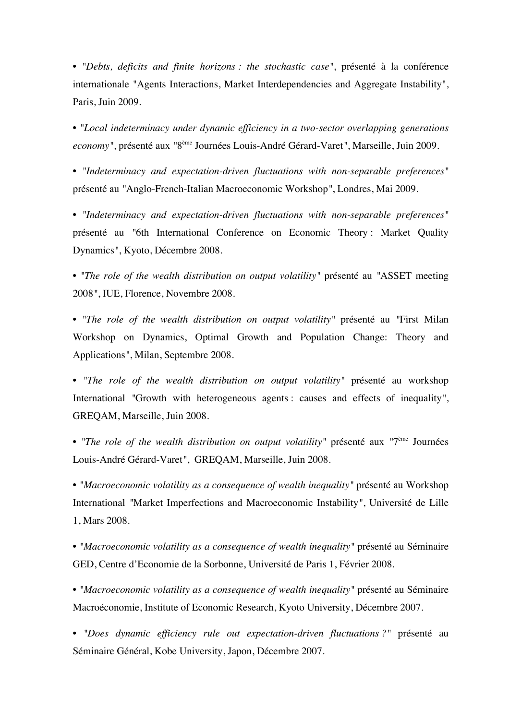• *"Debts, deficits and finite horizons : the stochastic case"*, présenté à la conférence internationale "Agents Interactions, Market Interdependencies and Aggregate Instability", Paris, Juin 2009.

• *"Local indeterminacy under dynamic efficiency in a two-sector overlapping generations economy"*, présenté aux *"*8ème Journées Louis-André Gérard-Varet*"*, Marseille, Juin 2009.

• *"Indeterminacy and expectation-driven fluctuations with non-separable preferences"* présenté au *"*Anglo-French-Italian Macroeconomic Workshop*"*, Londres, Mai 2009.

• *"Indeterminacy and expectation-driven fluctuations with non-separable preferences"* présenté au *"*6th International Conference on Economic Theory : Market Quality Dynamics*"*, Kyoto, Décembre 2008.

• *"The role of the wealth distribution on output volatility"* présenté au *"*ASSET meeting 2008*"*, IUE, Florence, Novembre 2008.

• *"The role of the wealth distribution on output volatility"* présenté au *"*First Milan Workshop on Dynamics, Optimal Growth and Population Change: Theory and Applications*"*, Milan, Septembre 2008.

• *"The role of the wealth distribution on output volatility"* présenté au workshop International *"*Growth with heterogeneous agents : causes and effects of inequality*"*, GREQAM, Marseille, Juin 2008.

• *"The role of the wealth distribution on output volatility"* présenté aux *"*7ème Journées Louis-André Gérard-Varet*"*, GREQAM, Marseille, Juin 2008.

• *"Macroeconomic volatility as a consequence of wealth inequality"* présenté au Workshop International *"*Market Imperfections and Macroeconomic Instability*"*, Université de Lille 1, Mars 2008.

• *"Macroeconomic volatility as a consequence of wealth inequality"* présenté au Séminaire GED, Centre d'Economie de la Sorbonne, Université de Paris 1, Février 2008.

• *"Macroeconomic volatility as a consequence of wealth inequality"* présenté au Séminaire Macroéconomie, Institute of Economic Research, Kyoto University, Décembre 2007.

• *"Does dynamic efficiency rule out expectation-driven fluctuations ?"* présenté au Séminaire Général, Kobe University, Japon, Décembre 2007.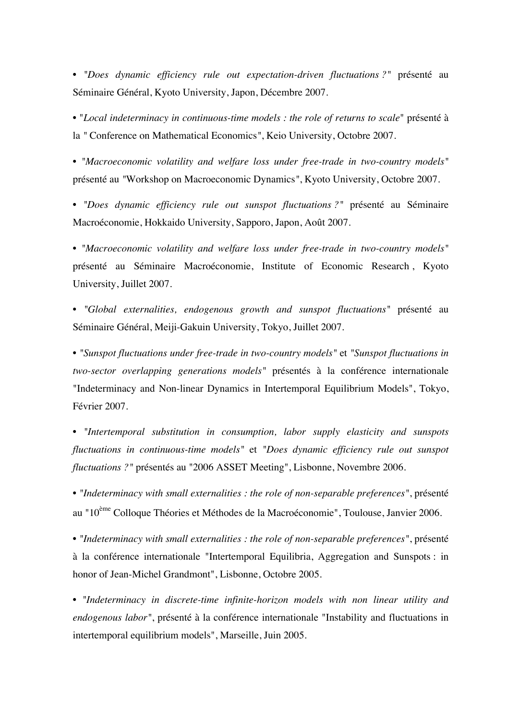• *"Does dynamic efficiency rule out expectation-driven fluctuations ?"* présenté au Séminaire Général, Kyoto University, Japon, Décembre 2007.

• "*Local indeterminacy in continuous-time models : the role of returns to scale*" présenté à la *"* Conference on Mathematical Economics*"*, Keio University, Octobre 2007.

• *"Macroeconomic volatility and welfare loss under free-trade in two-country models"* présenté au *"*Workshop on Macroeconomic Dynamics*"*, Kyoto University, Octobre 2007.

• *"Does dynamic efficiency rule out sunspot fluctuations ?"* présenté au Séminaire Macroéconomie, Hokkaido University, Sapporo, Japon, Août 2007.

• *"Macroeconomic volatility and welfare loss under free-trade in two-country models"* présenté au Séminaire Macroéconomie, Institute of Economic Research , Kyoto University, Juillet 2007.

• *"Global externalities, endogenous growth and sunspot fluctuations"* présenté au Séminaire Général, Meiji-Gakuin University, Tokyo, Juillet 2007.

• *"Sunspot fluctuations under free-trade in two-country models"* et *"Sunspot fluctuations in two-sector overlapping generations models"* présentés à la conférence internationale "Indeterminacy and Non-linear Dynamics in Intertemporal Equilibrium Models", Tokyo, Février 2007.

• *"Intertemporal substitution in consumption, labor supply elasticity and sunspots fluctuations in continuous-time models"* et *"Does dynamic efficiency rule out sunspot fluctuations ?"* présentés au "2006 ASSET Meeting", Lisbonne, Novembre 2006.

• *"Indeterminacy with small externalities : the role of non-separable preferences"*, présenté au "10ème Colloque Théories et Méthodes de la Macroéconomie", Toulouse, Janvier 2006.

• *"Indeterminacy with small externalities : the role of non-separable preferences"*, présenté à la conférence internationale "Intertemporal Equilibria, Aggregation and Sunspots : in honor of Jean-Michel Grandmont", Lisbonne, Octobre 2005.

• *"Indeterminacy in discrete-time infinite-horizon models with non linear utility and endogenous labor"*, présenté à la conférence internationale "Instability and fluctuations in intertemporal equilibrium models", Marseille, Juin 2005.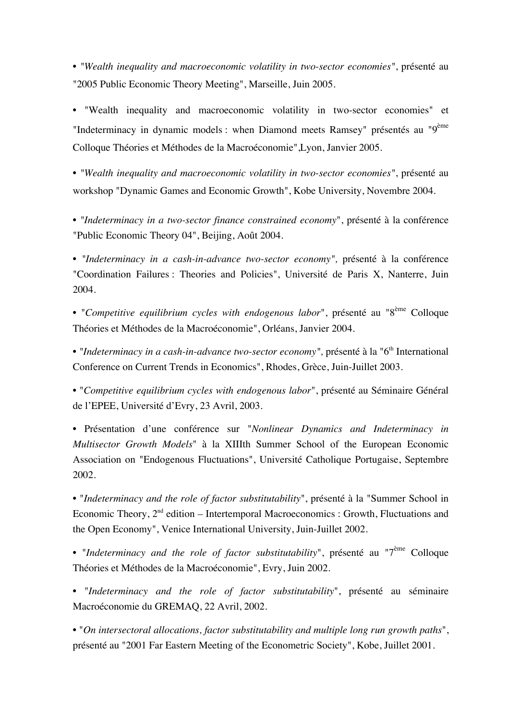• *"Wealth inequality and macroeconomic volatility in two-sector economies"*, présenté au "2005 Public Economic Theory Meeting", Marseille, Juin 2005.

• "Wealth inequality and macroeconomic volatility in two-sector economies" et "Indeterminacy in dynamic models : when Diamond meets Ramsey" présentés au "9<sup>ème</sup> Colloque Théories et Méthodes de la Macroéconomie",Lyon, Janvier 2005.

• *"Wealth inequality and macroeconomic volatility in two-sector economies"*, présenté au workshop "Dynamic Games and Economic Growth", Kobe University, Novembre 2004.

• *"Indeterminacy in a two-sector finance constrained economy*", présenté à la conférence "Public Economic Theory 04", Beijing, Août 2004.

• *"Indeterminacy in a cash-in-advance two-sector economy",* présenté à la conférence "Coordination Failures : Theories and Policies", Université de Paris X, Nanterre, Juin 2004.

• "*Competitive equilibrium cycles with endogenous labor*", présenté au "8ème Colloque Théories et Méthodes de la Macroéconomie", Orléans, Janvier 2004.

• "Indeterminacy in a cash-in-advance two-sector economy", présenté à la "6<sup>th</sup> International Conference on Current Trends in Economics", Rhodes, Grèce, Juin-Juillet 2003.

• "*Competitive equilibrium cycles with endogenous labor*", présenté au Séminaire Général de l'EPEE, Université d'Evry, 23 Avril, 2003.

• Présentation d'une conférence sur "*Nonlinear Dynamics and Indeterminacy in Multisector Growth Models*" à la XIIIth Summer School of the European Economic Association on "Endogenous Fluctuations", Université Catholique Portugaise, Septembre 2002.

• "*Indeterminacy and the role of factor substitutability*", présenté à la "Summer School in Economic Theory,  $2<sup>nd</sup>$  edition – Intertemporal Macroeconomics : Growth, Fluctuations and the Open Economy", Venice International University, Juin-Juillet 2002.

• "*Indeterminacy and the role of factor substitutability*", présenté au "7<sup>ème</sup> Colloque Théories et Méthodes de la Macroéconomie", Evry, Juin 2002.

• "*Indeterminacy and the role of factor substitutability*", présenté au séminaire Macroéconomie du GREMAQ, 22 Avril, 2002.

• "*On intersectoral allocations, factor substitutability and multiple long run growth paths*", présenté au "2001 Far Eastern Meeting of the Econometric Society", Kobe, Juillet 2001.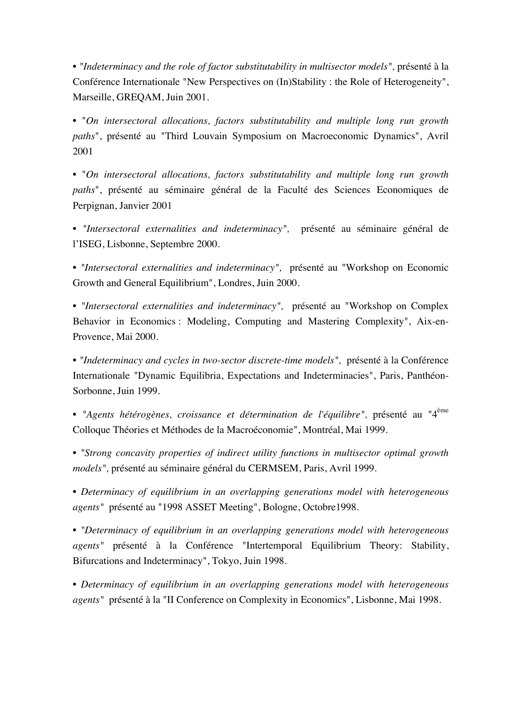• *"Indeterminacy and the role of factor substitutability in multisector models",* présenté à la Conférence Internationale "New Perspectives on (In)Stability : the Role of Heterogeneity", Marseille, GREQAM, Juin 2001.

• "*On intersectoral allocations, factors substitutability and multiple long run growth paths*", présenté au "Third Louvain Symposium on Macroeconomic Dynamics", Avril 2001

• "*On intersectoral allocations, factors substitutability and multiple long run growth paths*", présenté au séminaire général de la Faculté des Sciences Economiques de Perpignan, Janvier 2001

• *"Intersectoral externalities and indeterminacy",* présenté au séminaire général de l'ISEG, Lisbonne, Septembre 2000.

• *"Intersectoral externalities and indeterminacy",* présenté au "Workshop on Economic Growth and General Equilibrium", Londres, Juin 2000.

• *"Intersectoral externalities and indeterminacy",* présenté au "Workshop on Complex Behavior in Economics : Modeling, Computing and Mastering Complexity", Aix-en-Provence, Mai 2000.

• *"Indeterminacy and cycles in two-sector discrete-time models",* présenté à la Conférence Internationale "Dynamic Equilibria, Expectations and Indeterminacies", Paris, Panthéon-Sorbonne, Juin 1999.

• *"Agents hétérogènes, croissance et détermination de l'équilibre",* présenté au "4ème Colloque Théories et Méthodes de la Macroéconomie", Montréal, Mai 1999.

• *"Strong concavity properties of indirect utility functions in multisector optimal growth models",* présenté au séminaire général du CERMSEM, Paris, Avril 1999.

• *Determinacy of equilibrium in an overlapping generations model with heterogeneous agents"* présenté au "1998 ASSET Meeting", Bologne, Octobre1998.

• *"Determinacy of equilibrium in an overlapping generations model with heterogeneous agents"* présenté à la Conférence "Intertemporal Equilibrium Theory: Stability, Bifurcations and Indeterminacy", Tokyo, Juin 1998.

• *Determinacy of equilibrium in an overlapping generations model with heterogeneous agents"* présenté à la "II Conference on Complexity in Economics", Lisbonne, Mai 1998.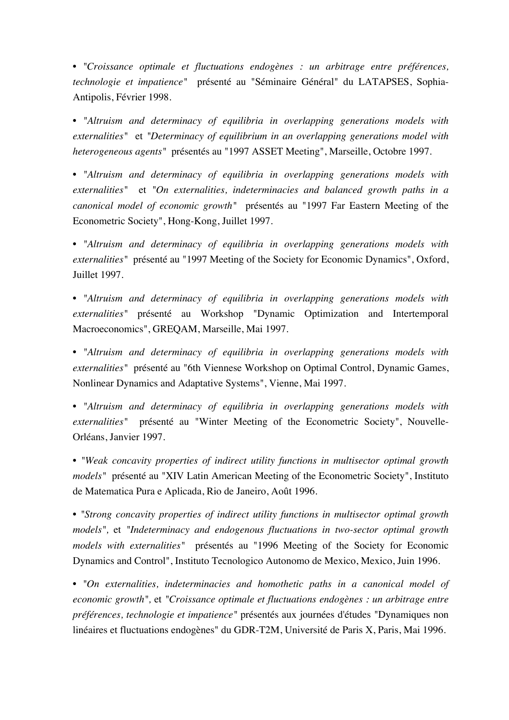• *"Croissance optimale et fluctuations endogènes : un arbitrage entre préférences, technologie et impatience"* présenté au "Séminaire Général" du LATAPSES, Sophia-Antipolis, Février 1998.

• *"Altruism and determinacy of equilibria in overlapping generations models with externalities"* et *"Determinacy of equilibrium in an overlapping generations model with heterogeneous agents"* présentés au "1997 ASSET Meeting", Marseille, Octobre 1997.

• *"Altruism and determinacy of equilibria in overlapping generations models with externalities"* et *"On externalities, indeterminacies and balanced growth paths in a canonical model of economic growth"* présentés au "1997 Far Eastern Meeting of the Econometric Society", Hong-Kong, Juillet 1997.

• *"Altruism and determinacy of equilibria in overlapping generations models with externalities"* présenté au "1997 Meeting of the Society for Economic Dynamics", Oxford, Juillet 1997.

• *"Altruism and determinacy of equilibria in overlapping generations models with externalities"* présenté au Workshop "Dynamic Optimization and Intertemporal Macroeconomics", GREQAM, Marseille, Mai 1997.

• *"Altruism and determinacy of equilibria in overlapping generations models with externalities"* présenté au "6th Viennese Workshop on Optimal Control, Dynamic Games, Nonlinear Dynamics and Adaptative Systems", Vienne, Mai 1997.

• *"Altruism and determinacy of equilibria in overlapping generations models with externalities"* présenté au "Winter Meeting of the Econometric Society", Nouvelle-Orléans, Janvier 1997.

• *"Weak concavity properties of indirect utility functions in multisector optimal growth models*" présenté au "XIV Latin American Meeting of the Econometric Society", Instituto de Matematica Pura e Aplicada, Rio de Janeiro, Août 1996.

• *"Strong concavity properties of indirect utility functions in multisector optimal growth models",* et *"Indeterminacy and endogenous fluctuations in two-sector optimal growth models with externalities"* présentés au "1996 Meeting of the Society for Economic Dynamics and Control", Instituto Tecnologico Autonomo de Mexico, Mexico, Juin 1996.

• *"On externalities, indeterminacies and homothetic paths in a canonical model of economic growth",* et *"Croissance optimale et fluctuations endogènes : un arbitrage entre préférences, technologie et impatience"* présentés aux journées d'études "Dynamiques non linéaires et fluctuations endogènes" du GDR-T2M, Université de Paris X, Paris, Mai 1996.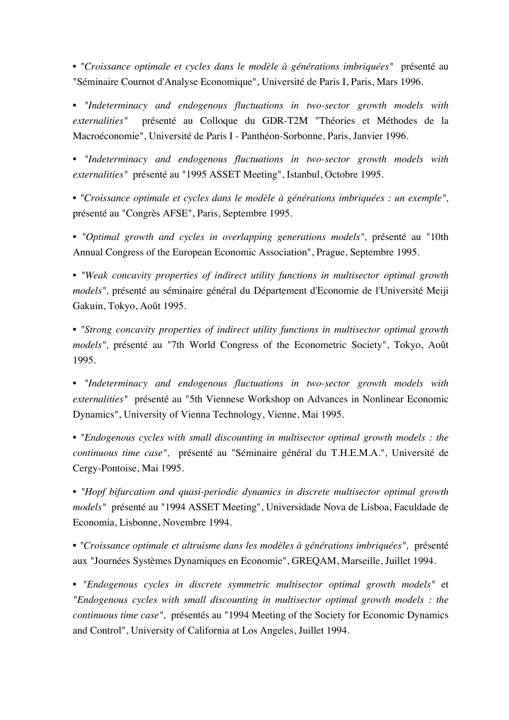• *"Croissance optimale et cycles dans le modèle à générations imbriquées"* présenté au "Séminaire Cournot d'Analyse Economique", Université de Paris I, Paris, Mars 1996.

• *"Indeterminacy and endogenous fluctuations in two-sector growth models with externalities"* présenté au Colloque du GDR-T2M "Théories et Méthodes de la Macroéconomie", Université de Paris I - Panthéon-Sorbonne, Paris, Janvier 1996.

• *"Indeterminacy and endogenous fluctuations in two-sector growth models with externalities"* présenté au "1995 ASSET Meeting", Istanbul, Octobre 1995.

• *"Croissance optimale et cycles dans le modèle à générations imbriquées : un exemple",* présenté au "Congrès AFSE", Paris, Septembre 1995.

• *"Optimal growth and cycles in overlapping generations models",* présenté au "10th Annual Congress of the European Economic Association", Prague, Septembre 1995.

• *"Weak concavity properties of indirect utility functions in multisector optimal growth models",* présenté au séminaire général du Département d'Economie de l'Université Meiji Gakuin, Tokyo, Août 1995.

• *"Strong concavity properties of indirect utility functions in multisector optimal growth models",* présenté au "7th World Congress of the Econometric Society", Tokyo, Août 1995.

• *"Indeterminacy and endogenous fluctuations in two-sector growth models with externalities"* présenté au "5th Viennese Workshop on Advances in Nonlinear Economic Dynamics", University of Vienna Technology, Vienne, Mai 1995.

• *"Endogenous cycles with small discounting in multisector optimal growth models : the continuous time case",* présenté au "Séminaire général du T.H.E.M.A.", Université de Cergy-Pontoise, Mai 1995.

• *"Hopf bifurcation and quasi-periodic dynamics in discrete multisector optimal growth models"* présenté au "1994 ASSET Meeting", Universidade Nova de Lisboa, Faculdade de Economia, Lisbonne, Novembre 1994.

• *"Croissance optimale et altruisme dans les modèles à générations imbriquées",* présenté aux "Journées Systèmes Dynamiques en Economie", GREQAM, Marseille, Juillet 1994.

• *"Endogenous cycles in discrete symmetric multisector optimal growth models"* et *"Endogenous cycles with small discounting in multisector optimal growth models : the continuous time case",* présentés au "1994 Meeting of the Society for Economic Dynamics and Control", University of California at Los Angeles, Juillet 1994.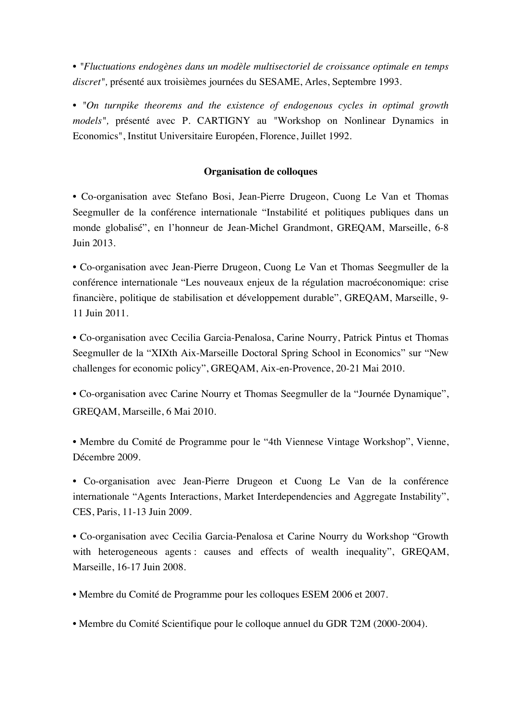• *"Fluctuations endogènes dans un modèle multisectoriel de croissance optimale en temps discret",* présenté aux troisièmes journées du SESAME, Arles, Septembre 1993.

• *"On turnpike theorems and the existence of endogenous cycles in optimal growth models",* présenté avec P. CARTIGNY au "Workshop on Nonlinear Dynamics in Economics", Institut Universitaire Européen, Florence, Juillet 1992.

# **Organisation de colloques**

• Co-organisation avec Stefano Bosi, Jean-Pierre Drugeon, Cuong Le Van et Thomas Seegmuller de la conférence internationale "Instabilité et politiques publiques dans un monde globalisé", en l'honneur de Jean-Michel Grandmont, GREQAM, Marseille, 6-8 Juin 2013.

• Co-organisation avec Jean-Pierre Drugeon, Cuong Le Van et Thomas Seegmuller de la conférence internationale "Les nouveaux enjeux de la régulation macroéconomique: crise financière, politique de stabilisation et développement durable", GREQAM, Marseille, 9- 11 Juin 2011.

• Co-organisation avec Cecilia Garcia-Penalosa, Carine Nourry, Patrick Pintus et Thomas Seegmuller de la "XIXth Aix-Marseille Doctoral Spring School in Economics" sur "New challenges for economic policy", GREQAM, Aix-en-Provence, 20-21 Mai 2010.

• Co-organisation avec Carine Nourry et Thomas Seegmuller de la "Journée Dynamique", GREQAM, Marseille, 6 Mai 2010.

• Membre du Comité de Programme pour le "4th Viennese Vintage Workshop", Vienne, Décembre 2009.

• Co-organisation avec Jean-Pierre Drugeon et Cuong Le Van de la conférence internationale "Agents Interactions, Market Interdependencies and Aggregate Instability", CES, Paris, 11-13 Juin 2009.

• Co-organisation avec Cecilia Garcia-Penalosa et Carine Nourry du Workshop "Growth with heterogeneous agents: causes and effects of wealth inequality", GREQAM, Marseille, 16-17 Juin 2008.

• Membre du Comité de Programme pour les colloques ESEM 2006 et 2007.

• Membre du Comité Scientifique pour le colloque annuel du GDR T2M (2000-2004).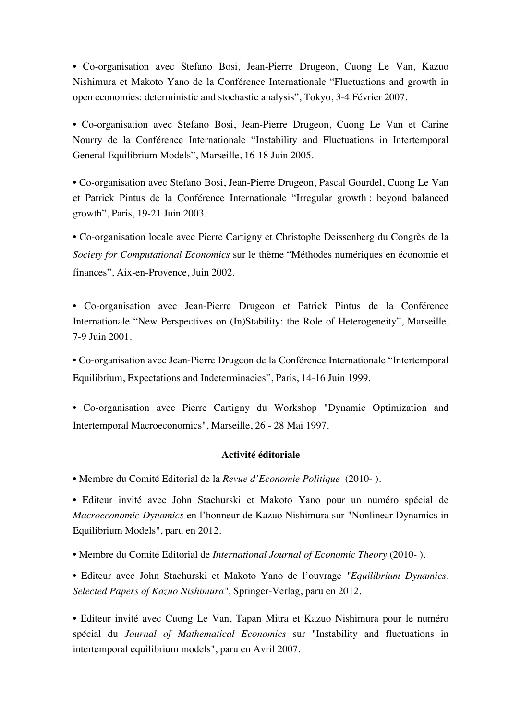• Co-organisation avec Stefano Bosi, Jean-Pierre Drugeon, Cuong Le Van, Kazuo Nishimura et Makoto Yano de la Conférence Internationale "Fluctuations and growth in open economies: deterministic and stochastic analysis", Tokyo, 3-4 Février 2007.

• Co-organisation avec Stefano Bosi, Jean-Pierre Drugeon, Cuong Le Van et Carine Nourry de la Conférence Internationale "Instability and Fluctuations in Intertemporal General Equilibrium Models", Marseille, 16-18 Juin 2005.

• Co-organisation avec Stefano Bosi, Jean-Pierre Drugeon, Pascal Gourdel, Cuong Le Van et Patrick Pintus de la Conférence Internationale "Irregular growth : beyond balanced growth", Paris, 19-21 Juin 2003.

• Co-organisation locale avec Pierre Cartigny et Christophe Deissenberg du Congrès de la *Society for Computational Economics* sur le thème "Méthodes numériques en économie et finances", Aix-en-Provence, Juin 2002.

• Co-organisation avec Jean-Pierre Drugeon et Patrick Pintus de la Conférence Internationale "New Perspectives on (In)Stability: the Role of Heterogeneity", Marseille, 7-9 Juin 2001.

• Co-organisation avec Jean-Pierre Drugeon de la Conférence Internationale "Intertemporal Equilibrium, Expectations and Indeterminacies", Paris, 14-16 Juin 1999.

• Co-organisation avec Pierre Cartigny du Workshop "Dynamic Optimization and Intertemporal Macroeconomics", Marseille, 26 - 28 Mai 1997.

# **Activité éditoriale**

• Membre du Comité Editorial de la *Revue d'Economie Politique* (2010- ).

• Editeur invité avec John Stachurski et Makoto Yano pour un numéro spécial de *Macroeconomic Dynamics* en l'honneur de Kazuo Nishimura sur "Nonlinear Dynamics in Equilibrium Models", paru en 2012.

• Membre du Comité Editorial de *International Journal of Economic Theory* (2010- ).

• Editeur avec John Stachurski et Makoto Yano de l'ouvrage *"Equilibrium Dynamics. Selected Papers of Kazuo Nishimura"*, Springer-Verlag, paru en 2012.

• Editeur invité avec Cuong Le Van, Tapan Mitra et Kazuo Nishimura pour le numéro spécial du *Journal of Mathematical Economics* sur "Instability and fluctuations in intertemporal equilibrium models", paru en Avril 2007.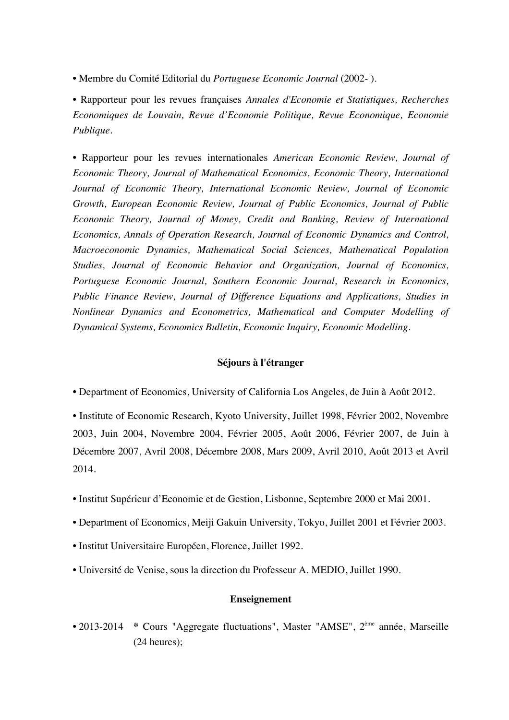• Membre du Comité Editorial du *Portuguese Economic Journal* (2002- ).

• Rapporteur pour les revues françaises *Annales d'Economie et Statistiques, Recherches Economiques de Louvain, Revue d'Economie Politique, Revue Economique, Economie Publique.*

• Rapporteur pour les revues internationales *American Economic Review, Journal of Economic Theory, Journal of Mathematical Economics, Economic Theory, International Journal of Economic Theory, International Economic Review, Journal of Economic Growth, European Economic Review, Journal of Public Economics, Journal of Public Economic Theory, Journal of Money, Credit and Banking, Review of International Economics, Annals of Operation Research, Journal of Economic Dynamics and Control, Macroeconomic Dynamics, Mathematical Social Sciences, Mathematical Population Studies, Journal of Economic Behavior and Organization, Journal of Economics, Portuguese Economic Journal, Southern Economic Journal, Research in Economics, Public Finance Review, Journal of Difference Equations and Applications, Studies in Nonlinear Dynamics and Econometrics, Mathematical and Computer Modelling of Dynamical Systems, Economics Bulletin, Economic Inquiry, Economic Modelling.*

#### **Séjours à l'étranger**

• Department of Economics, University of California Los Angeles, de Juin à Août 2012.

• Institute of Economic Research, Kyoto University, Juillet 1998, Février 2002, Novembre 2003, Juin 2004, Novembre 2004, Février 2005, Août 2006, Février 2007, de Juin à Décembre 2007, Avril 2008, Décembre 2008, Mars 2009, Avril 2010, Août 2013 et Avril 2014.

- Institut Supérieur d'Economie et de Gestion, Lisbonne, Septembre 2000 et Mai 2001.
- Department of Economics, Meiji Gakuin University, Tokyo, Juillet 2001 et Février 2003.
- Institut Universitaire Européen, Florence, Juillet 1992.
- Université de Venise, sous la direction du Professeur A. MEDIO, Juillet 1990.

# **Enseignement**

• 2013-2014 \* Cours "Aggregate fluctuations", Master "AMSE", 2<sup>ème</sup> année, Marseille (24 heures);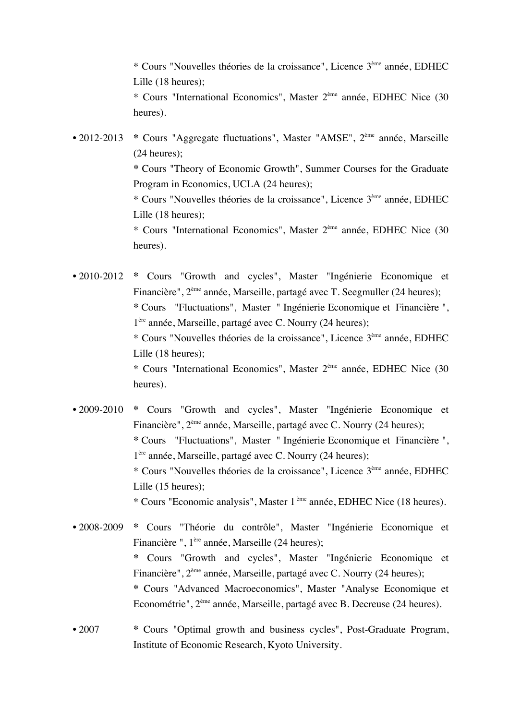\* Cours "Nouvelles théories de la croissance", Licence 3ème année, EDHEC Lille (18 heures);

\* Cours "International Economics", Master 2ème année, EDHEC Nice (30 heures).

• 2012-2013 \* Cours "Aggregate fluctuations", Master "AMSE", 2<sup>ème</sup> année, Marseille (24 heures);

**\*** Cours "Theory of Economic Growth", Summer Courses for the Graduate Program in Economics, UCLA (24 heures);

\* Cours "Nouvelles théories de la croissance", Licence 3ème année, EDHEC Lille (18 heures);

\* Cours "International Economics", Master 2ème année, EDHEC Nice (30 heures).

• 2010-2012 **\*** Cours "Growth and cycles", Master "Ingénierie Economique et Financière", 2ème année, Marseille, partagé avec T. Seegmuller (24 heures); **\*** Cours "Fluctuations", Master " Ingénierie Economique et Financière ", 1ère année, Marseille, partagé avec C. Nourry (24 heures); \* Cours "Nouvelles théories de la croissance", Licence 3ème année, EDHEC

Lille (18 heures);

\* Cours "International Economics", Master 2ème année, EDHEC Nice (30 heures).

- 2009-2010 **\*** Cours "Growth and cycles", Master "Ingénierie Economique et Financière", 2ème année, Marseille, partagé avec C. Nourry (24 heures); **\*** Cours "Fluctuations", Master " Ingénierie Economique et Financière ", 1ère année, Marseille, partagé avec C. Nourry (24 heures); \* Cours "Nouvelles théories de la croissance", Licence 3ème année, EDHEC Lille (15 heures); \* Cours "Economic analysis", Master 1 ème année, EDHEC Nice (18 heures).
- 2008-2009 **\*** Cours "Théorie du contrôle", Master "Ingénierie Economique et Financière ", 1ère année, Marseille (24 heures); **\*** Cours "Growth and cycles", Master "Ingénierie Economique et Financière", 2ème année, Marseille, partagé avec C. Nourry (24 heures); **\*** Cours "Advanced Macroeconomics", Master "Analyse Economique et Econométrie", 2ème année, Marseille, partagé avec B. Decreuse (24 heures).
- 2007 **\*** Cours "Optimal growth and business cycles", Post-Graduate Program, Institute of Economic Research, Kyoto University.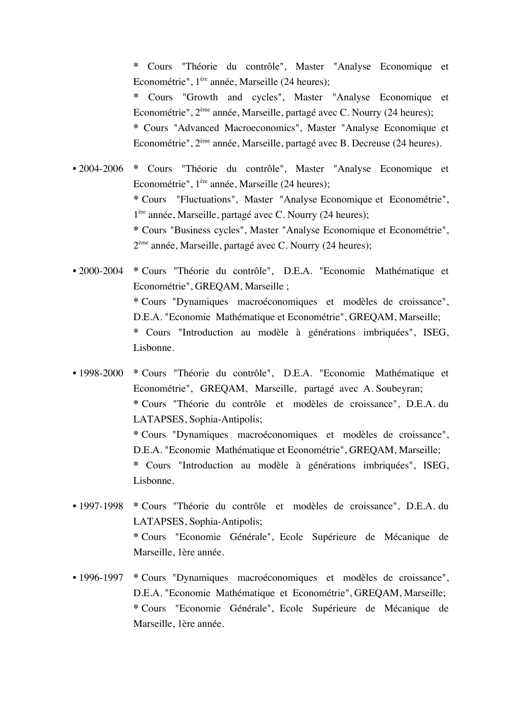**\*** Cours "Théorie du contrôle", Master "Analyse Economique et Econométrie", 1ère année, Marseille (24 heures);

**\*** Cours "Growth and cycles", Master "Analyse Economique et Econométrie", 2ème année, Marseille, partagé avec C. Nourry (24 heures);

**\*** Cours "Advanced Macroeconomics", Master "Analyse Economique et Econométrie", 2ème année, Marseille, partagé avec B. Decreuse (24 heures).

• 2004-2006 **\*** Cours "Théorie du contrôle", Master "Analyse Economique et Econométrie", 1ère année, Marseille (24 heures); **\*** Cours "Fluctuations", Master "Analyse Economique et Econométrie", 1ère année, Marseille, partagé avec C. Nourry (24 heures); **\*** Cours "Business cycles", Master "Analyse Economique et Econométrie", 2ème année, Marseille, partagé avec C. Nourry (24 heures);

• 2000-2004 **\*** Cours "Théorie du contrôle", D.E.A. "Economie Mathématique et Econométrie", GREQAM, Marseille ; **\*** Cours "Dynamiques macroéconomiques et modèles de croissance", D.E.A. "Economie Mathématique et Econométrie", GREQAM, Marseille; **\*** Cours "Introduction au modèle à générations imbriquées", ISEG, Lisbonne.

• 1998-2000 **\*** Cours "Théorie du contrôle", D.E.A. "Economie Mathématique et Econométrie", GREQAM, Marseille, partagé avec A. Soubeyran; **\*** Cours "Théorie du contrôle et modèles de croissance", D.E.A. du LATAPSES, Sophia-Antipolis; **\*** Cours "Dynamiques macroéconomiques et modèles de croissance", D.E.A. "Economie Mathématique et Econométrie", GREQAM, Marseille; **\*** Cours "Introduction au modèle à générations imbriquées", ISEG, Lisbonne.

- 1997-1998 **\*** Cours "Théorie du contrôle et modèles de croissance", D.E.A. du LATAPSES, Sophia-Antipolis; **\*** Cours "Economie Générale", Ecole Supérieure de Mécanique de Marseille, 1ère année.
- 1996-1997 **\*** Cours "Dynamiques macroéconomiques et modèles de croissance", D.E.A. "Economie Mathématique et Econométrie", GREQAM, Marseille; **\*** Cours "Economie Générale", Ecole Supérieure de Mécanique de Marseille, 1ère année.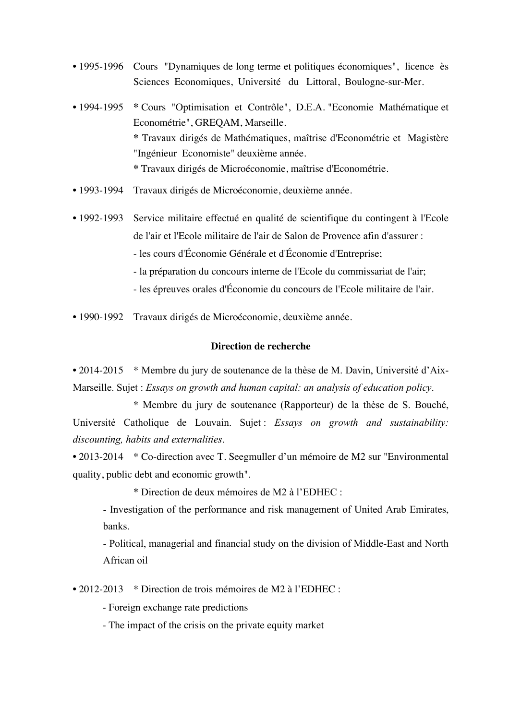- 1995-1996 Cours "Dynamiques de long terme et politiques économiques", licence ès Sciences Economiques, Université du Littoral, Boulogne-sur-Mer.
- 1994-1995 **\*** Cours "Optimisation et Contrôle", D.E.A. "Economie Mathématique et Econométrie", GREQAM, Marseille. **\*** Travaux dirigés de Mathématiques, maîtrise d'Econométrie et Magistère "Ingénieur Economiste" deuxième année. **\*** Travaux dirigés de Microéconomie, maîtrise d'Econométrie.
- 1993-1994 Travaux dirigés de Microéconomie, deuxième année.
- 1992-1993 Service militaire effectué en qualité de scientifique du contingent à l'Ecole de l'air et l'Ecole militaire de l'air de Salon de Provence afin d'assurer :
	- les cours d'Économie Générale et d'Économie d'Entreprise;
	- la préparation du concours interne de l'Ecole du commissariat de l'air;
	- les épreuves orales d'Économie du concours de l'Ecole militaire de l'air.
- 1990-1992 Travaux dirigés de Microéconomie, deuxième année.

## **Direction de recherche**

• 2014-2015 \* Membre du jury de soutenance de la thèse de M. Davin, Université d'Aix-Marseille. Sujet : *Essays on growth and human capital: an analysis of education policy*.

\* Membre du jury de soutenance (Rapporteur) de la thèse de S. Bouché, Université Catholique de Louvain. Sujet : *Essays on growth and sustainability: discounting, habits and externalities*.

• 2013-2014 \* Co-direction avec T. Seegmuller d'un mémoire de M2 sur "Environmental quality, public debt and economic growth".

\* Direction de deux mémoires de M2 à l'EDHEC :

- Investigation of the performance and risk management of United Arab Emirates, banks.

- Political, managerial and financial study on the division of Middle-East and North African oil

• 2012-2013 \* Direction de trois mémoires de M2 à l'EDHEC :

- Foreign exchange rate predictions

- The impact of the crisis on the private equity market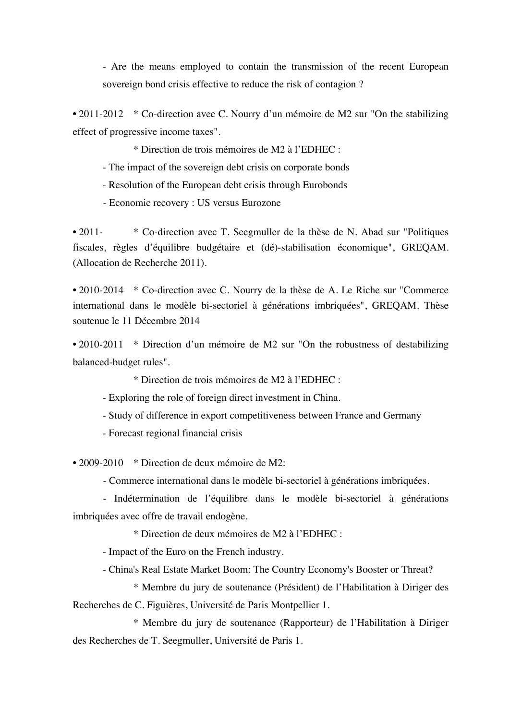- Are the means employed to contain the transmission of the recent European sovereign bond crisis effective to reduce the risk of contagion ?

• 2011-2012 \* Co-direction avec C. Nourry d'un mémoire de M2 sur "On the stabilizing effect of progressive income taxes".

\* Direction de trois mémoires de M2 à l'EDHEC :

- The impact of the sovereign debt crisis on corporate bonds

- Resolution of the European debt crisis through Eurobonds

- Economic recovery : US versus Eurozone

• 2011- \* Co-direction avec T. Seegmuller de la thèse de N. Abad sur "Politiques" fiscales, règles d'équilibre budgétaire et (dé)-stabilisation économique", GREQAM. (Allocation de Recherche 2011).

• 2010-2014 \* Co-direction avec C. Nourry de la thèse de A. Le Riche sur "Commerce" international dans le modèle bi-sectoriel à générations imbriquées", GREQAM. Thèse soutenue le 11 Décembre 2014

• 2010-2011 \* Direction d'un mémoire de M2 sur "On the robustness of destabilizing balanced-budget rules".

\* Direction de trois mémoires de M2 à l'EDHEC :

- Exploring the role of foreign direct investment in China.

- Study of difference in export competitiveness between France and Germany

- Forecast regional financial crisis

• 2009-2010 \* Direction de deux mémoire de M2:

- Commerce international dans le modèle bi-sectoriel à générations imbriquées.

- Indétermination de l'équilibre dans le modèle bi-sectoriel à générations imbriquées avec offre de travail endogène.

\* Direction de deux mémoires de M2 à l'EDHEC :

- Impact of the Euro on the French industry.

- China's Real Estate Market Boom: The Country Economy's Booster or Threat?

\* Membre du jury de soutenance (Président) de l'Habilitation à Diriger des Recherches de C. Figuières, Université de Paris Montpellier 1.

\* Membre du jury de soutenance (Rapporteur) de l'Habilitation à Diriger des Recherches de T. Seegmuller, Université de Paris 1.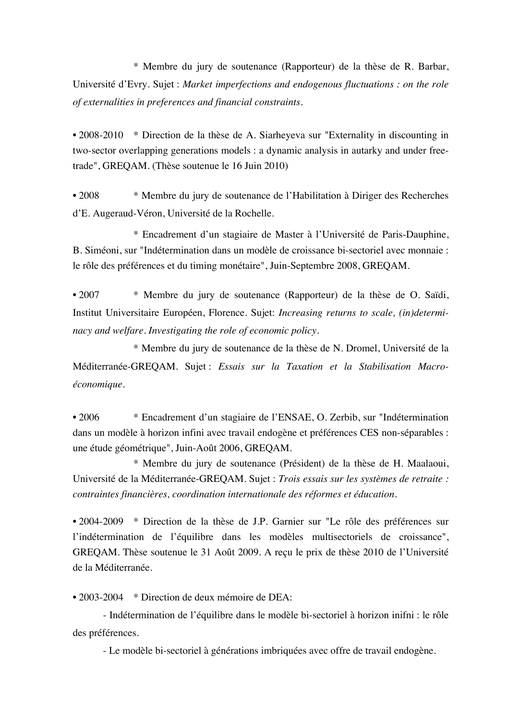\* Membre du jury de soutenance (Rapporteur) de la thèse de R. Barbar, Université d'Evry. Sujet : *Market imperfections and endogenous fluctuations : on the role of externalities in preferences and financial constraints*.

• 2008-2010 \* Direction de la thèse de A. Siarheyeva sur "Externality in discounting in two-sector overlapping generations models : a dynamic analysis in autarky and under freetrade", GREQAM. (Thèse soutenue le 16 Juin 2010)

• 2008 \* Membre du jury de soutenance de l'Habilitation à Diriger des Recherches d'E. Augeraud-Véron, Université de la Rochelle.

\* Encadrement d'un stagiaire de Master à l'Université de Paris-Dauphine, B. Siméoni, sur "Indétermination dans un modèle de croissance bi-sectoriel avec monnaie : le rôle des préférences et du timing monétaire", Juin-Septembre 2008, GREQAM.

• 2007 \* Membre du jury de soutenance (Rapporteur) de la thèse de O. Saïdi, Institut Universitaire Européen, Florence. Sujet: *Increasing returns to scale, (in)determinacy and welfare. Investigating the role of economic policy*.

\* Membre du jury de soutenance de la thèse de N. Dromel, Université de la Méditerranée-GREQAM. Sujet : *Essais sur la Taxation et la Stabilisation Macroéconomique.*

• 2006 \* Encadrement d'un stagiaire de l'ENSAE, O. Zerbib, sur "Indétermination dans un modèle à horizon infini avec travail endogène et préférences CES non-séparables : une étude géométrique", Juin-Août 2006, GREQAM.

\* Membre du jury de soutenance (Président) de la thèse de H. Maalaoui, Université de la Méditerranée-GREQAM. Sujet : *Trois essais sur les systèmes de retraite : contraintes financières, coordination internationale des réformes et éducation.*

• 2004-2009 \* Direction de la thèse de J.P. Garnier sur "Le rôle des préférences sur l'indétermination de l'équilibre dans les modèles multisectoriels de croissance", GREQAM. Thèse soutenue le 31 Août 2009. A reçu le prix de thèse 2010 de l'Université de la Méditerranée.

• 2003-2004 \* Direction de deux mémoire de DEA:

- Indétermination de l'équilibre dans le modèle bi-sectoriel à horizon inifni : le rôle des préférences.

- Le modèle bi-sectoriel à générations imbriquées avec offre de travail endogène.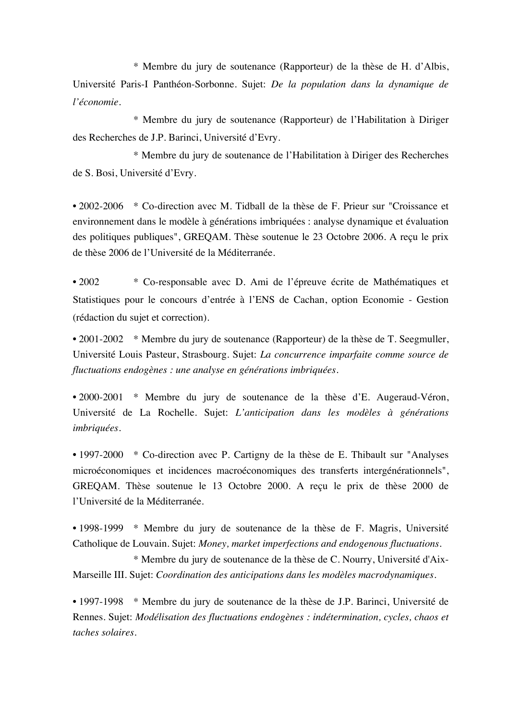\* Membre du jury de soutenance (Rapporteur) de la thèse de H. d'Albis, Université Paris-I Panthéon-Sorbonne. Sujet: *De la population dans la dynamique de l'économie.*

\* Membre du jury de soutenance (Rapporteur) de l'Habilitation à Diriger des Recherches de J.P. Barinci, Université d'Evry.

\* Membre du jury de soutenance de l'Habilitation à Diriger des Recherches de S. Bosi, Université d'Evry.

• 2002-2006 \* Co-direction avec M. Tidball de la thèse de F. Prieur sur "Croissance et environnement dans le modèle à générations imbriquées : analyse dynamique et évaluation des politiques publiques", GREQAM. Thèse soutenue le 23 Octobre 2006. A reçu le prix de thèse 2006 de l'Université de la Méditerranée.

• 2002 \* Co-responsable avec D. Ami de l'épreuve écrite de Mathématiques et Statistiques pour le concours d'entrée à l'ENS de Cachan, option Economie - Gestion (rédaction du sujet et correction).

• 2001-2002 \* Membre du jury de soutenance (Rapporteur) de la thèse de T. Seegmuller, Université Louis Pasteur, Strasbourg. Sujet: *La concurrence imparfaite comme source de fluctuations endogènes : une analyse en générations imbriquées.*

• 2000-2001 \* Membre du jury de soutenance de la thèse d'E. Augeraud-Véron, Université de La Rochelle. Sujet: *L'anticipation dans les modèles à générations imbriquées.*

• 1997-2000 \* Co-direction avec P. Cartigny de la thèse de E. Thibault sur "Analyses" microéconomiques et incidences macroéconomiques des transferts intergénérationnels", GREQAM. Thèse soutenue le 13 Octobre 2000. A reçu le prix de thèse 2000 de l'Université de la Méditerranée.

• 1998-1999 \* Membre du jury de soutenance de la thèse de F. Magris, Université Catholique de Louvain. Sujet: *Money, market imperfections and endogenous fluctuations.*

\* Membre du jury de soutenance de la thèse de C. Nourry, Université d'Aix-Marseille III. Sujet: *Coordination des anticipations dans les modèles macrodynamiques.*

• 1997-1998 \* Membre du jury de soutenance de la thèse de J.P. Barinci, Université de Rennes. Sujet: *Modélisation des fluctuations endogènes : indétermination, cycles, chaos et taches solaires.*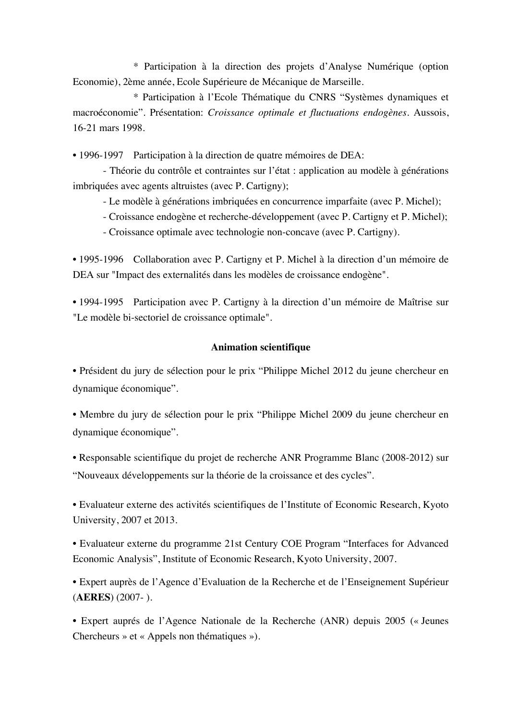\* Participation à la direction des projets d'Analyse Numérique (option Economie), 2ème année, Ecole Supérieure de Mécanique de Marseille.

\* Participation à l'Ecole Thématique du CNRS "Systèmes dynamiques et macroéconomie". Présentation: *Croissance optimale et fluctuations endogènes*. Aussois, 16-21 mars 1998.

• 1996-1997 Participation à la direction de quatre mémoires de DEA:

- Théorie du contrôle et contraintes sur l'état : application au modèle à générations imbriquées avec agents altruistes (avec P. Cartigny);

- Le modèle à générations imbriquées en concurrence imparfaite (avec P. Michel);

- Croissance endogène et recherche-développement (avec P. Cartigny et P. Michel);

- Croissance optimale avec technologie non-concave (avec P. Cartigny).

• 1995-1996 Collaboration avec P. Cartigny et P. Michel à la direction d'un mémoire de DEA sur "Impact des externalités dans les modèles de croissance endogène".

• 1994-1995 Participation avec P. Cartigny à la direction d'un mémoire de Maîtrise sur "Le modèle bi-sectoriel de croissance optimale".

# **Animation scientifique**

• Président du jury de sélection pour le prix "Philippe Michel 2012 du jeune chercheur en dynamique économique".

• Membre du jury de sélection pour le prix "Philippe Michel 2009 du jeune chercheur en dynamique économique".

• Responsable scientifique du projet de recherche ANR Programme Blanc (2008-2012) sur "Nouveaux développements sur la théorie de la croissance et des cycles".

• Evaluateur externe des activités scientifiques de l'Institute of Economic Research, Kyoto University, 2007 et 2013.

• Evaluateur externe du programme 21st Century COE Program "Interfaces for Advanced Economic Analysis", Institute of Economic Research, Kyoto University, 2007.

• Expert auprès de l'Agence d'Evaluation de la Recherche et de l'Enseignement Supérieur (**AERES**) (2007- ).

• Expert auprés de l'Agence Nationale de la Recherche (ANR) depuis 2005 (« Jeunes Chercheurs » et « Appels non thématiques »).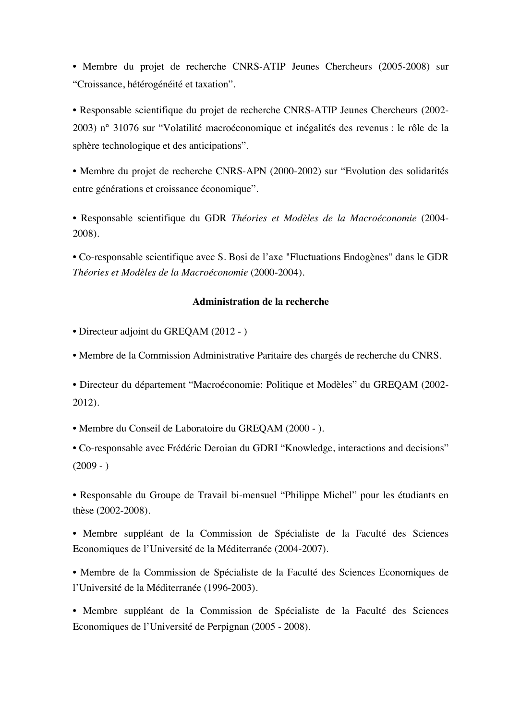• Membre du projet de recherche CNRS-ATIP Jeunes Chercheurs (2005-2008) sur "Croissance, hétérogénéité et taxation".

• Responsable scientifique du projet de recherche CNRS-ATIP Jeunes Chercheurs (2002- 2003) n° 31076 sur "Volatilité macroéconomique et inégalités des revenus : le rôle de la sphère technologique et des anticipations".

• Membre du projet de recherche CNRS-APN (2000-2002) sur "Evolution des solidarités entre générations et croissance économique".

• Responsable scientifique du GDR *Théories et Modèles de la Macroéconomie* (2004- 2008).

• Co-responsable scientifique avec S. Bosi de l'axe "Fluctuations Endogènes" dans le GDR *Théories et Modèles de la Macroéconomie* (2000-2004).

### **Administration de la recherche**

- Directeur adjoint du GREQAM (2012 )
- Membre de la Commission Administrative Paritaire des chargés de recherche du CNRS.

• Directeur du département "Macroéconomie: Politique et Modèles" du GREQAM (2002- 2012).

• Membre du Conseil de Laboratoire du GREQAM (2000 - ).

• Co-responsable avec Frédéric Deroian du GDRI "Knowledge, interactions and decisions"  $(2009 - )$ 

• Responsable du Groupe de Travail bi-mensuel "Philippe Michel" pour les étudiants en thèse (2002-2008).

• Membre suppléant de la Commission de Spécialiste de la Faculté des Sciences Economiques de l'Université de la Méditerranée (2004-2007).

• Membre de la Commission de Spécialiste de la Faculté des Sciences Economiques de l'Université de la Méditerranée (1996-2003).

• Membre suppléant de la Commission de Spécialiste de la Faculté des Sciences Economiques de l'Université de Perpignan (2005 - 2008).